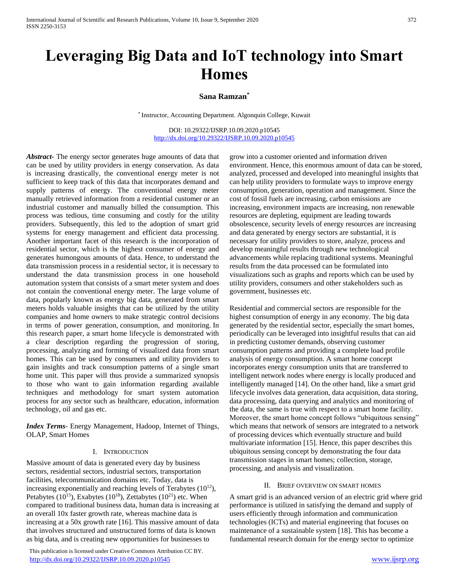# **Leveraging Big Data and IoT technology into Smart Homes**

# **Sana Ramzan\***

\* Instructor, Accounting Department. Algonquin College, Kuwait

DOI: 10.29322/IJSRP.10.09.2020.p10545 <http://dx.doi.org/10.29322/IJSRP.10.09.2020.p10545>

*Abstract***-** The energy sector generates huge amounts of data that can be used by utility providers in energy conservation. As data is increasing drastically, the conventional energy meter is not sufficient to keep track of this data that incorporates demand and supply patterns of energy. The conventional energy meter manually retrieved information from a residential customer or an industrial customer and manually billed the consumption. This process was tedious, time consuming and costly for the utility providers. Subsequently, this led to the adoption of smart grid systems for energy management and efficient data processing. Another important facet of this research is the incorporation of residential sector, which is the highest consumer of energy and generates humongous amounts of data. Hence, to understand the data transmission process in a residential sector, it is necessary to understand the data transmission process in one household automation system that consists of a smart meter system and does not contain the conventional energy meter. The large volume of data, popularly known as energy big data, generated from smart meters holds valuable insights that can be utilized by the utility companies and home owners to make strategic control decisions in terms of power generation, consumption, and monitoring. In this research paper, a smart home lifecycle is demonstrated with a clear description regarding the progression of storing, processing, analyzing and forming of visualized data from smart homes. This can be used by consumers and utility providers to gain insights and track consumption patterns of a single smart home unit. This paper will thus provide a summarized synopsis to those who want to gain information regarding available techniques and methodology for smart system automation process for any sector such as healthcare, education, information technology, oil and gas etc.

*Index Terms*- Energy Management, Hadoop, Internet of Things, OLAP, Smart Homes

# I. INTRODUCTION

Massive amount of data is generated every day by business sectors, residential sectors, industrial sectors, transportation facilities, telecommunication domains etc. Today, data is increasing exponentially and reaching levels of Terabytes  $(10^{12})$ , Petabytes ( $10^{15}$ ), Exabytes ( $10^{18}$ ), Zettabytes ( $10^{21}$ ) etc. When compared to traditional business data, human data is increasing at an overall 10x faster growth rate, whereas machine data is increasing at a 50x growth rate [16]. This massive amount of data that involves structured and unstructured forms of data is known as big data, and is creating new opportunities for businesses to

 This publication is licensed under Creative Commons Attribution CC BY. <http://dx.doi.org/10.29322/IJSRP.10.09.2020.p10545> [www.ijsrp.org](http://ijsrp.org/)

grow into a customer oriented and information driven environment. Hence, this enormous amount of data can be stored, analyzed, processed and developed into meaningful insights that can help utility providers to formulate ways to improve energy consumption, generation, operation and management. Since the cost of fossil fuels are increasing, carbon emissions are increasing, environment impacts are increasing, non renewable resources are depleting, equipment are leading towards obsolescence, security levels of energy resources are increasing and data generated by energy sectors are substantial, it is necessary for utility providers to store, analyze, process and develop meaningful results through new technological advancements while replacing traditional systems. Meaningful results from the data processed can be formulated into visualizations such as graphs and reports which can be used by utility providers, consumers and other stakeholders such as government, businesses etc.

Residential and commercial sectors are responsible for the highest consumption of energy in any economy. The big data generated by the residential sector, especially the smart homes, periodically can be leveraged into insightful results that can aid in predicting customer demands, observing customer consumption patterns and providing a complete load profile analysis of energy consumption. A smart home concept incorporates energy consumption units that are transferred to intelligent network nodes where energy is locally produced and intelligently managed [14]. On the other hand, like a smart grid lifecycle involves data generation, data acquisition, data storing, data processing, data querying and analytics and monitoring of the data, the same is true with respect to a smart home facility. Moreover, the smart home concept follows "ubiquitous sensing" which means that network of sensors are integrated to a network of processing devices which eventually structure and build multivariate information [15]. Hence, this paper describes this ubiquitous sensing concept by demonstrating the four data transmission stages in smart homes; collection, storage, processing, and analysis and visualization.

## II. BRIEF OVERVIEW ON SMART HOMES

A smart grid is an advanced version of an electric grid where grid performance is utilized in satisfying the demand and supply of users efficiently through information and communication technologies (ICTs) and material engineering that focuses on maintenance of a sustainable system [18]. This has become a fundamental research domain for the energy sector to optimize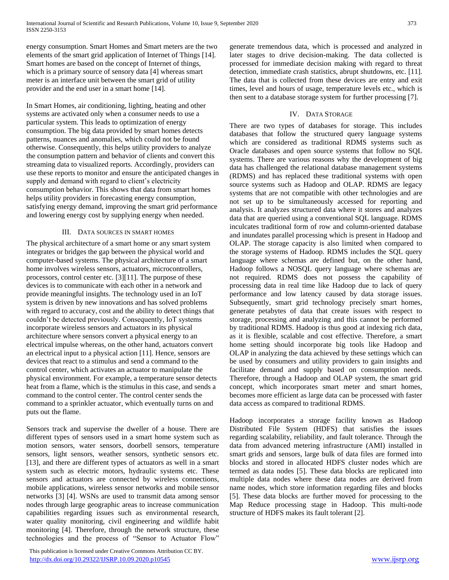energy consumption. Smart Homes and Smart meters are the two elements of the smart grid application of Internet of Things [14]. Smart homes are based on the concept of Internet of things, which is a primary source of sensory data [4] whereas smart meter is an interface unit between the smart grid of utility provider and the end user in a smart home [14].

In Smart Homes, air conditioning, lighting, heating and other systems are activated only when a consumer needs to use a particular system. This leads to optimization of energy consumption. The big data provided by smart homes detects patterns, nuances and anomalies, which could not be found otherwise. Consequently, this helps utility providers to analyze the consumption pattern and behavior of clients and convert this streaming data to visualized reports. Accordingly, providers can use these reports to monitor and ensure the anticipated changes in supply and demand with regard to client's electricity consumption behavior. This shows that data from smart homes helps utility providers in forecasting energy consumption, satisfying energy demand, improving the smart grid performance and lowering energy cost by supplying energy when needed.

# III. DATA SOURCES IN SMART HOMES

The physical architecture of a smart home or any smart system integrates or bridges the gap between the physical world and computer-based systems. The physical architecture of a smart home involves wireless sensors, actuators, microcontrollers, processors, control center etc. [3][11]. The purpose of these devices is to communicate with each other in a network and provide meaningful insights. The technology used in an IoT system is driven by new innovations and has solved problems with regard to accuracy, cost and the ability to detect things that couldn't be detected previously. Consequently, IoT systems incorporate wireless sensors and actuators in its physical architecture where sensors convert a physical energy to an electrical impulse whereas, on the other hand, actuators convert an electrical input to a physical action [11]. Hence, sensors are devices that react to a stimulus and send a command to the control center, which activates an actuator to manipulate the physical environment. For example, a temperature sensor detects heat from a flame, which is the stimulus in this case, and sends a command to the control center. The control center sends the command to a sprinkler actuator, which eventually turns on and puts out the flame.

Sensors track and supervise the dweller of a house. There are different types of sensors used in a smart home system such as motion sensors, water sensors, doorbell sensors, temperature sensors, light sensors, weather sensors, synthetic sensors etc. [13], and there are different types of actuators as well in a smart system such as electric motors, hydraulic systems etc. These sensors and actuators are connected by wireless connections, mobile applications, wireless sensor networks and mobile sensor networks [3] [4]. WSNs are used to transmit data among sensor nodes through large geographic areas to increase communication capabilities regarding issues such as environmental research, water quality monitoring, civil engineering and wildlife habit monitoring [4]. Therefore, through the network structure, these technologies and the process of "Sensor to Actuator Flow"

 This publication is licensed under Creative Commons Attribution CC BY. <http://dx.doi.org/10.29322/IJSRP.10.09.2020.p10545> [www.ijsrp.org](http://ijsrp.org/)

generate tremendous data, which is processed and analyzed in later stages to drive decision-making. The data collected is processed for immediate decision making with regard to threat detection, immediate crash statistics, abrupt shutdowns, etc. [11]. The data that is collected from these devices are entry and exit times, level and hours of usage, temperature levels etc., which is then sent to a database storage system for further processing [7].

# IV. DATA STORAGE

There are two types of databases for storage. This includes databases that follow the structured query language systems which are considered as traditional RDMS systems such as Oracle databases and open source systems that follow no SQL systems. There are various reasons why the development of big data has challenged the relational database management systems (RDMS) and has replaced these traditional systems with open source systems such as Hadoop and OLAP. RDMS are legacy systems that are not compatible with other technologies and are not set up to be simultaneously accessed for reporting and analysis. It analyzes structured data where it stores and analyzes data that are queried using a conventional SQL language. RDMS inculcates traditional form of row and column-oriented database and inundates parallel processing which is present in Hadoop and OLAP. The storage capacity is also limited when compared to the storage systems of Hadoop. RDMS includes the SQL query language where schemas are defined but, on the other hand, Hadoop follows a NOSQL query language where schemas are not required. RDMS does not possess the capability of processing data in real time like Hadoop due to lack of query performance and low latency caused by data storage issues. Subsequently, smart grid technology precisely smart homes, generate petabytes of data that create issues with respect to storage, processing and analyzing and this cannot be performed by traditional RDMS. Hadoop is thus good at indexing rich data, as it is flexible, scalable and cost effective. Therefore, a smart home setting should incorporate big tools like Hadoop and OLAP in analyzing the data achieved by these settings which can be used by consumers and utility providers to gain insights and facilitate demand and supply based on consumption needs. Therefore, through a Hadoop and OLAP system, the smart grid concept, which incorporates smart meter and smart homes, becomes more efficient as large data can be processed with faster data access as compared to traditional RDMS.

Hadoop incorporates a storage facility known as Hadoop Distributed File System (HDFS) that satisfies the issues regarding scalability, reliability, and fault tolerance. Through the data from advanced metering infrastructure (AMI) installed in smart grids and sensors, large bulk of data files are formed into blocks and stored in allocated HDFS cluster nodes which are termed as data nodes [5]. These data blocks are replicated into multiple data nodes where these data nodes are derived from name nodes, which store information regarding files and blocks [5]. These data blocks are further moved for processing to the Map Reduce processing stage in Hadoop. This multi-node structure of HDFS makes its fault tolerant [2].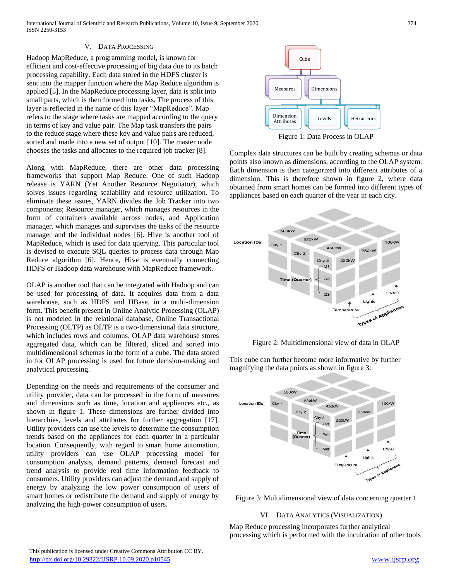Hadoop MapReduce, a programming model, is known for efficient and cost-effective processing of big data due to its batch processing capability. Each data stored in the HDFS cluster is sent into the mapper function where the Map Reduce algorithm is applied [5]. In the MapReduce processing layer, data is split into small parts, which is then formed into tasks. The process of this layer is reflected in the name of this layer "MapReduce". Map refers to the stage where tasks are mapped according to the query in terms of key and value pair. The Map task transfers the pairs to the reduce stage where these key and value pairs are reduced, sorted and made into a new set of output [10]. The master node chooses the tasks and allocates to the required job tracker [8].

Along with MapReduce, there are other data processing frameworks that support Map Reduce. One of such Hadoop release is YARN (Yet Another Resource Negotiator), which solves issues regarding scalability and resource utilization. To eliminate these issues, YARN divides the Job Tracker into two components; Resource manager, which manages resources in the form of containers available across nodes, and Application manager, which manages and supervises the tasks of the resource manager and the individual nodes [6]. Hive is another tool of MapReduce, which is used for data querying. This particular tool is devised to execute SQL queries to process data through Map Reduce algorithm [6]. Hence, Hive is eventually connecting HDFS or Hadoop data warehouse with MapReduce framework.

OLAP is another tool that can be integrated with Hadoop and can be used for processing of data. It acquires data from a data warehouse, such as HDFS and HBase, in a multi-dimension form. This benefit present in Online Analytic Processing (OLAP) is not modeled in the relational database, Online Transactional Processing (OLTP) as OLTP is a two-dimensional data structure, which includes rows and columns. OLAP data warehouse stores aggregated data, which can be filtered, sliced and sorted into multidimensional schemas in the form of a cube. The data stored in for OLAP processing is used for future decision-making and analytical processing.

Depending on the needs and requirements of the consumer and utility provider, data can be processed in the form of measures and dimensions such as time, location and appliances etc., as shown in figure 1. These dimensions are further divided into hierarchies, levels and attributes for further aggregation [17]. Utility providers can use the levels to determine the consumption trends based on the appliances for each quarter in a particular location. Consequently, with regard to smart home automation, utility providers can use OLAP processing model for consumption analysis, demand patterns, demand forecast and trend analysis to provide real time information feedback to consumers. Utility providers can adjust the demand and supply of energy by analyzing the low power consumption of users of smart homes or redistribute the demand and supply of energy by analyzing the high-power consumption of users.



Figure 1: Data Process in OLAP

Complex data structures can be built by creating schemas or data points also known as dimensions, according to the OLAP system. Each dimension is then categorized into different attributes of a dimension. This is therefore shown in figure 2, where data obtained from smart homes can be formed into different types of appliances based on each quarter of the year in each city.



Figure 2: Multidimensional view of data in OLAP

This cube can further become more informative by further magnifying the data points as shown in figure 3:





# VI. DATA ANALYTICS (VISUALIZATION)

Map Reduce processing incorporates further analytical processing which is performed with the inculcation of other tools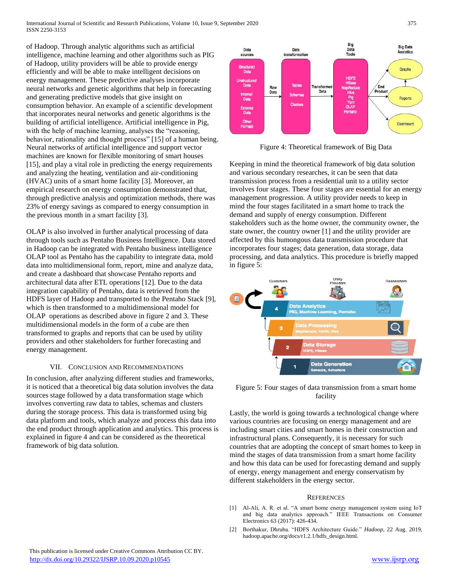International Journal of Scientific and Research Publications, Volume 10, Issue 9, September 2020 375 ISSN 2250-3153

of Hadoop. Through analytic algorithms such as artificial intelligence, machine learning and other algorithms such as PIG of Hadoop, utility providers will be able to provide energy efficiently and will be able to make intelligent decisions on energy management. These predictive analyses incorporate neural networks and genetic algorithms that help in forecasting and generating predictive models that give insight on consumption behavior. An example of a scientific development that incorporates neural networks and genetic algorithms is the building of artificial intelligence. Artificial intelligence in Pig, with the help of machine learning, analyses the "reasoning, behavior, rationality and thought process" [15] of a human being. Neural networks of artificial intelligence and support vector machines are known for flexible monitoring of smart houses [15], and play a vital role in predicting the energy requirements and analyzing the heating, ventilation and air-conditioning (HVAC) units of a smart home facility [3]. Moreover, an empirical research on energy consumption demonstrated that, through predictive analysis and optimization methods, there was 23% of energy savings as compared to energy consumption in the previous month in a smart facility [3].

OLAP is also involved in further analytical processing of data through tools such as Pentaho Business Intelligence. Data stored in Hadoop can be integrated with Pentaho business intelligence OLAP tool as Pentaho has the capability to integrate data, mold data into multidimensional form, report, mine and analyze data, and create a dashboard that showcase Pentaho reports and architectural data after ETL operations [12]. Due to the data integration capability of Pentaho, data is retrieved from the HDFS layer of Hadoop and transported to the Pentaho Stack [9], which is then transformed to a multidimensional model for OLAP operations as described above in figure 2 and 3. These multidimensional models in the form of a cube are then transformed to graphs and reports that can be used by utility providers and other stakeholders for further forecasting and energy management.

# VII. CONCLUSION AND RECOMMENDATIONS

In conclusion, after analyzing different studies and frameworks, it is noticed that a theoretical big data solution involves the data sources stage followed by a data transformation stage which involves converting raw data to tables, schemas and clusters during the storage process. This data is transformed using big data platform and tools, which analyze and process this data into the end product through application and analytics. This process is explained in figure 4 and can be considered as the theoretical framework of big data solution.



Figure 4: Theoretical framework of Big Data

Keeping in mind the theoretical framework of big data solution and various secondary researches, it can be seen that data transmission process from a residential unit to a utility sector involves four stages. These four stages are essential for an energy management progression. A utility provider needs to keep in mind the four stages facilitated in a smart home to track the demand and supply of energy consumption. Different stakeholders such as the home owner, the community owner, the state owner, the country owner [1] and the utility provider are affected by this humongous data transmission procedure that incorporates four stages; data generation, data storage, data processing, and data analytics. This procedure is briefly mapped in figure 5:



Figure 5: Four stages of data transmission from a smart home facility

Lastly, the world is going towards a technological change where various countries are focusing on energy management and are including smart cities and smart homes in their construction and infrastructural plans. Consequently, it is necessary for such countries that are adopting the concept of smart homes to keep in mind the stages of data transmission from a smart home facility and how this data can be used for forecasting demand and supply of energy, energy management and energy conservatism by different stakeholders in the energy sector.

#### **REFERENCES**

- [1] Al-Ali, A. R. et al. "A smart home energy management system using IoT and big data analytics approach." IEEE Transactions on Consumer Electronics 63 (2017): 426-434.
- [2] Borthakur, Dhruba. "HDFS Architecture Guide." *Hadoop*, 22 Aug. 2019, hadoop.apache.org/docs/r1.2.1/hdfs\_design.html.